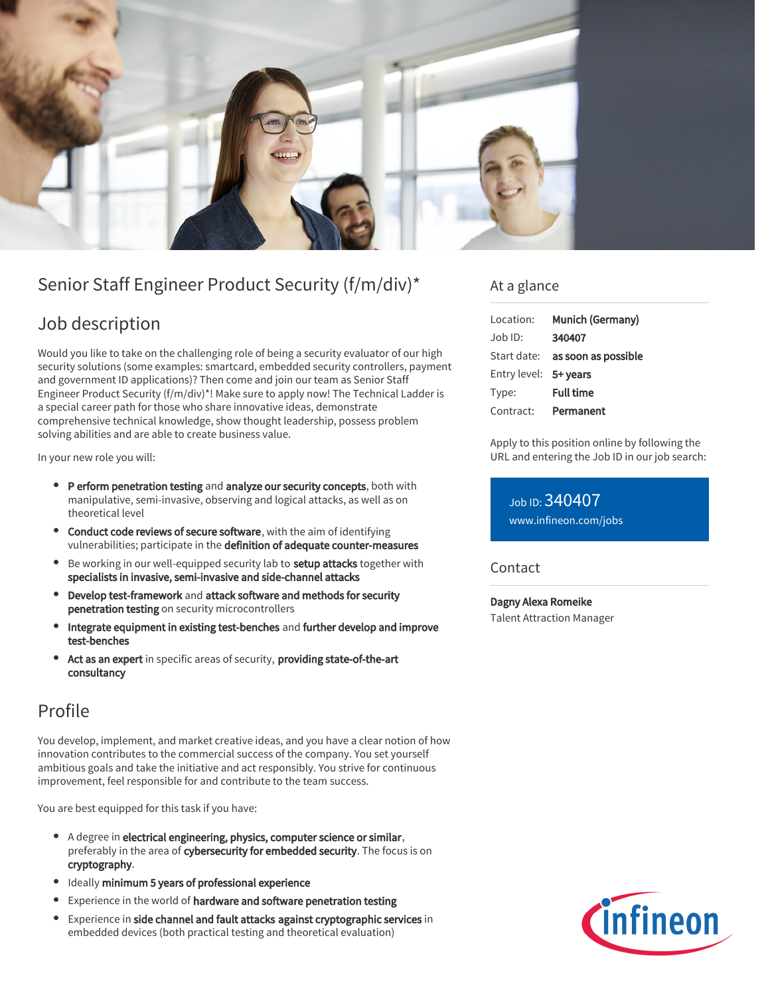

# Senior Staff Engineer Product Security (f/m/div)\*

# Job description

Would you like to take on the challenging role of being a security evaluator of our high security solutions (some examples: smartcard, embedded security controllers, payment and government ID applications)? Then come and join our team as Senior Staff Engineer Product Security (f/m/div)\*! Make sure to apply now! The Technical Ladder is a special career path for those who share innovative ideas, demonstrate comprehensive technical knowledge, show thought leadership, possess problem solving abilities and are able to create business value.

In your new role you will:

- P erform penetration testing and analyze our security concepts, both with manipulative, semi-invasive, observing and logical attacks, as well as on theoretical level
- Conduct code reviews of secure software, with the aim of identifying vulnerabilities; participate in the definition of adequate counter-measures
- Be working in our well-equipped security lab to setup attacks together with specialists in invasive, semi-invasive and side-channel attacks
- Develop test-framework and attack software and methods for security penetration testing on security microcontrollers
- Integrate equipment in existing test-benches and further develop and improve test-benches
- Act as an expert in specific areas of security, providing state-of-the-art consultancy

# Profile

You develop, implement, and market creative ideas, and you have a clear notion of how innovation contributes to the commercial success of the company. You set yourself ambitious goals and take the initiative and act responsibly. You strive for continuous improvement, feel responsible for and contribute to the team success.

You are best equipped for this task if you have:

- A degree in electrical engineering, physics, computer science or similar, preferably in the area of cybersecurity for embedded security. The focus is on cryptography.
- Ideally minimum 5 years of professional experience
- **•** Experience in the world of hardware and software penetration testing
- **Experience in side channel and fault attacks against cryptographic services in** embedded devices (both practical testing and theoretical evaluation)

### At a glance

| Location:             | Munich (Germany)                       |
|-----------------------|----------------------------------------|
| Job ID:               | 340407                                 |
|                       | Start date: <b>as soon as possible</b> |
| Entry level: 5+ years |                                        |
| Type:                 | <b>Full time</b>                       |
| Contract:             | Permanent                              |

Apply to this position online by following the URL and entering the Job ID in our job search:

Job ID: 340407 [www.infineon.com/jobs](https://www.infineon.com/jobs)

### **Contact**

Dagny Alexa Romeike Talent Attraction Manager